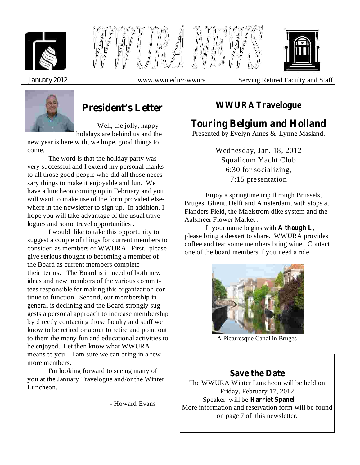





*January* 2012 www.wwu.edu\~wwura Serving Retired Faculty and Staff



# **President's Letter**

Well, the jolly, happy holidays are behind us and the

new year is here with, we hope, good things to come.

The word is that the holiday party was very successful and I extend my personal thanks to all those good people who did all those necessary things to make it enjoyable and fun. We have a luncheon coming up in February and you will want to make use of the form provided elsewhere in the newsletter to sign up. In addition, I hope you will take advantage of the usual travelogues and some travel opportunities .

I would like to take this opportunity to suggest a couple of things for current members to consider as members of WWURA. First, please give serious thought to becoming a member of the Board as current members complete their terms. The Board is in need of both new ideas and new members of the various committees responsible for making this organization continue to function. Second, our membership in general is declining and the Board strongly suggests a personal approach to increase membership by directly contacting those faculty and staff we know to be retired or about to retire and point out to them the many fun and educational activities to be enjoyed. Let then know what WWURA means to you. I am sure we can bring in a few more members.

I'm looking forward to seeing many of you at the January Travelogue and/or the Winter Luncheon.

- Howard Evans

## **WWURA Travelogue**

# **Touring Belgium and Holland**

Presented by Evelyn Ames & Lynne Masland.

Wednesday, Jan. 18, 2012 Squalicum Yacht Club 6:30 for socializing, 7:15 presentation

Enjoy a springtime trip through Brussels, Bruges, Ghent, Delft and Amsterdam, with stops at Flanders Field, the Maelstrom dike system and the Aalsmeer Flower Market .

If your name begins with **A** though **L**, please bring a dessert to share. WWURA provides coffee and tea; some members bring wine. Contact one of the board members if you need a ride.



A Picturesque Canal in Bruges

# **Save the Date**

The WWURA Winter Luncheon will be held on Friday, February 17, 2012 Speaker will be **Harriet Spanel**More information and reservation form will be found on page 7 of this newsletter.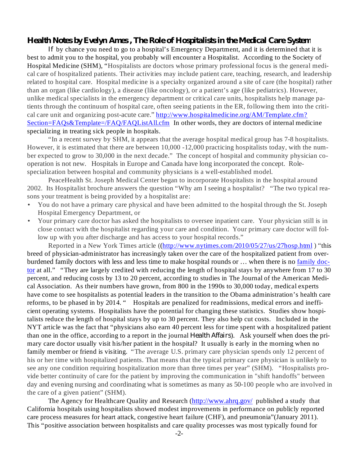#### *Health Notes by Evelyn Ames , The Role of Hospitalists in the Medical Care System*

If by chance you need to go to a hospital's Emergency Department, and it is determined that it is best to admit you to the hospital, you probably will encounter a Hospitalist. According to the Society of Hospital Medicine (SHM), "Hospitalists are doctors whose primary professional focus is the general medical care of hospitalized patients. Their activities may include patient care, teaching, research, and leadership related to hospital care. Hospital medicine is a specialty organized around a site of care (the hospital) rather than an organ (like cardiology), a disease (like oncology), or a patient's age (like pediatrics). However, unlike medical specialists in the emergency department or critical care units, hospitalists help manage patients through the continuum of hospital care, often seeing patients in the ER, following them into the critical care unit and organizing post-acute care." http://www.hospitalmedicine.org/AM/Template.cfm? Section=FAQs&Template=/FAQ/FAQListAll.cfm In other words, they are doctors of internal medicine specializing in treating sick people in hospitals.

"In a recent survey by SHM, it appears that the average hospital medical group has 7-8 hospitalists. However, it is estimated that there are between 10,000 -12,000 practicing hospitalists today, with the number expected to grow to 30,000 in the next decade." The concept of hospital and community physician cooperation is not new. Hospitals in Europe and Canada have long incorporated the concept. Rolespecialization between hospital and community physicians is a well-established model.

PeaceHealth St. Joseph Medical Center began to incorporate Hospitalists in the hospital around 2002. Its Hospitalist brochure answers the question "Why am I seeing a hospitalist? "The two typical reasons your treatment is being provided by a hospitalist are:

- You do not have a primary care physical and have been admitted to the hospital through the St. Joseph Hospital Emergency Department, or •
- Your primary care doctor has asked the hospitalists to oversee inpatient care. Your physician still is in close contact with the hospitalist regarding your care and condition. Your primary care doctor will follow up with you after discharge and has access to your hospital records." •

Reported in a New York Times article ((http://www.nytimes.com/2010/05/27/us/27hosp.html ) "this breed of physician-administrator has increasingly taken over the care of the hospitalized patient from overburdened family doctors with less and less time to make hospital rounds or … when there is no family doctor at all." "They are largely credited with reducing the length of hospital stays by anywhere from 17 to 30 percent, and reducing costs by 13 to 20 percent, according to studies in The Journal of the American Medical Association. As their numbers have grown, from 800 in the 1990s to 30,000 today, medical experts have come to see hospitalists as potential leaders in the transition to the Obama administration's health care reforms, to be phased in by 2014. " Hospitals are penalized for readmissions, medical errors and inefficient operating systems. Hospitalists have the potential for changing these statistics. Studies show hospitalists reduce the length of hospital stays by up to 30 percent. They also help cut costs. Included in the NYT article was the fact that "physicians also earn 40 percent less for time spent with a hospitalized patient than one in the office, according to a report in the journal *Health Affairs*). Ask yourself when does the primary care doctor usually visit his/her patient in the hospital? It usually is early in the morning when no family member or friend is visiting. "The average U.S. primary care physician spends only 12 percent of his or her time with hospitalized patients. That means that the typical primary care physician is unlikely to see any one condition requiring hospitalization more than three times per year" (SHM). "Hospitalists provide better continuity of care for the patient by improving the communication in "shift handoffs" between day and evening nursing and coordinating what is sometimes as many as 50-100 people who are involved in the care of a given patient" (SHM).

The Agency for Healthcare Quality and Research (http://www.ahrq.gov/ published a study that California hospitals using hospitalists showed modest improvements in performance on publicly reported care process measures for heart attack, congestive heart failure (CHF), and pneumonia"(January 2011). This "positive association between hospitalists and care quality processes was most typically found for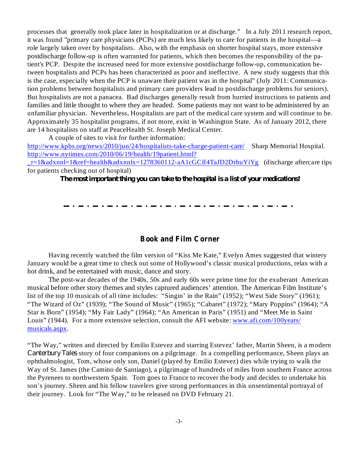processes that generally took place later in hospitalization or at discharge." In a July 2011 research report, it was found "primary care physicians (PCPs) are much less likely to care for patients in the hospital—a role largely taken over by hospitalists. Also, with the emphasis on shorter hospital stays, more extensive postdischarge follow-up is often warranted for patients, which then becomes the responsibility of the patient's PCP. Despite the increased need for more extensive postdischarge follow-up, communication between hospitalists and PCPs has been characterized as poor and ineffective. A new study suggests that this is the case, especially when the PCP is unaware their patient was in the hospital" (July 2011: Communication problems between hospitalists and primary care providers lead to postdischarge problems for seniors). But hospitalists are not a panacea. Bad discharges generally result from hurried instructions to patients and families and little thought to where they are headed. Some patients may not want to be administered by an unfamiliar physician. Nevertheless, Hospitalists are part of the medical care system and will continue to be. Approximately 35 hospitalist programs, if not more, exist in Washington State. As of January 2012, there are 14 hospitalists on staff at PeaceHealth St. Joseph Medical Center.

A couple of sites to visit for further information:

http://www.kpbs.org/news/2010/jun/24/hospitalists-take-charge-patient-care/ Sharp Memorial Hospital. http://www.nytimes.com/2010/06/19/health/19patient.html?

r=1&adxnnl=1&ref=health&adxnnlx=1278360112-aA1cGClf4TaJD2DrhuYiYg (discharge aftercare tips for patients checking out of hospital)

*The most important thing you can take to the hospital is a list of your medications!*

#### **Book and Film Corner**

Having recently watched the film version of "Kiss Me Kate," Evelyn Ames suggested that wintery January would be a great time to check out some of Hollywood's classic musical productions, relax with a hot drink, and be entertained with music, dance and story.

The post-war decades of the 1940s, 50s and early 60s were prime time for the exuberant American musical before other story themes and styles captured audiences' attention. The American Film Institute's list of the top 10 musicals of all time includes: "Singin' in the Rain" (1952); "West Side Story" (1961); "The Wizard of Oz" (1939); "The Sound of Music" (1965); "Cabaret" (1972); "Mary Poppins" (1964); "A Star is Born" (1954); "My Fair Lady" (1964); "An American in Paris" (1951) and "Meet Me in Saint Louis" (1944). For a more extensive selection, consult the AFI website: www.afi.com/100years/ musicals.aspx.

"The Way," written and directed by Emilio Estevez and starring Estevez' father, Martin Sheen, is a modern Canterbury Tales story of four companions on a pilgrimage. In a compelling performance, Sheen plays an ophthalmologist, Tom, whose only son, Daniel (played by Emilio Estevez) dies while trying to walk the Way of St. James (the Camino de Santiago), a pilgrimage of hundreds of miles from southern France across the Pyrenees to northwestern Spain. Tom goes to France to recover the body and decides to undertake his son's journey. Sheen and his fellow travelers give strong performances in this unsentimental portrayal of their journey. Look for "The Way," to be released on DVD February 21.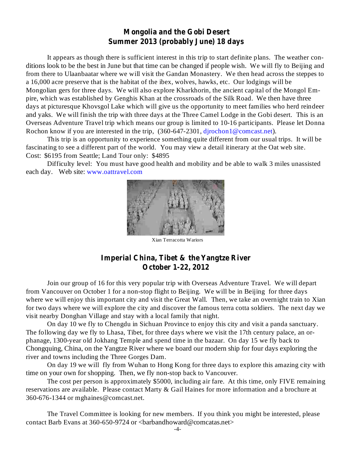### **Mongolia and the Gobi Desert Summer 2013 (probably June) 18 days**

It appears as though there is sufficient interest in this trip to start definite plans. The weather conditions look to be the best in June but that time can be changed if people wish. We will fly to Beijing and from there to Ulaanbaatar where we will visit the Gandan Monastery. We then head across the steppes to a 16,000 acre preserve that is the habitat of the ibex, wolves, hawks, etc. Our lodgings will be Mongolian gers for three days. We will also explore Kharkhorin, the ancient capital of the Mongol Empire, which was established by Genghis Khan at the crossroads of the Silk Road. We then have three days at picturesque Khovsgol Lake which will give us the opportunity to meet families who herd reindeer and yaks. We will finish the trip with three days at the Three Camel Lodge in the Gobi desert. This is an Overseas Adventure Travel trip which means our group is limited to 10-16 participants. Please let Donna Rochon know if you are interested in the trip,  $(360-647-2301,$  djrochon1@comcast.net).

This trip is an opportunity to experience something quite different from our usual trips. It will be fascinating to see a different part of the world. You may view a detail itinerary at the Oat web site. Cost: \$6195 from Seattle; Land Tour only: \$4895

Difficulty level: You must have good health and mobility and be able to walk 3 miles unassisted each day. Web site: www.oattravel.com



Xian Terracotta Wariors

### **Imperial China, Tibet & the Yangtze River October 1-22, 2012**

Join our group of 16 for this very popular trip with Overseas Adventure Travel. We will depart from Vancouver on October 1 for a non-stop flight to Beijing. We will be in Beijing for three days where we will enjoy this important city and visit the Great Wall. Then, we take an overnight train to Xian for two days where we will explore the city and discover the famous terra cotta soldiers. The next day we visit nearby Donghan Village and stay with a local family that night.

On day 10 we fly to Chengdu in Sichuan Province to enjoy this city and visit a panda sanctuary. The following day we fly to Lhasa, Tibet, for three days where we visit the 17th century palace, an orphanage, 1300-year old Jokhang Temple and spend time in the bazaar. On day 15 we fly back to Chongquing, China, on the Yangtze River where we board our modern ship for four days exploring the river and towns including the Three Gorges Dam.

On day 19 we will fly from Wuhan to Hong Kong for three days to explore this amazing city with time on your own for shopping. Then, we fly non-stop back to Vancouver.

The cost per person is approximately \$5000, including air fare. At this time, only FIVE remaining reservations are available. Please contact Marty & Gail Haines for more information and a brochure at 360-676-1344 or mghaines@comcast.net.

The Travel Committee is looking for new members. If you think you might be interested, please contact Barb Evans at 360-650-9724 or <br/>barbandhoward@comcatas.net>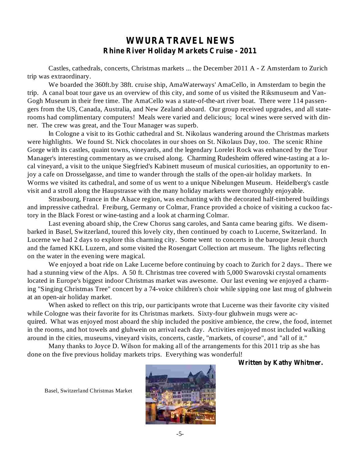## **WWURA TRAVEL NEWS Rhine River Holiday Markets Cruise - 2011**

Castles, cathedrals, concerts, Christmas markets ... the December 2011 A - Z Amsterdam to Zurich trip was extraordinary.

We boarded the 360ft.by 38ft. cruise ship, AmaWaterways' AmaCello, in Amsterdam to begin the trip. A canal boat tour gave us an overview of this city, and some of us visited the Riksmuseum and Van-Gogh Museum in their free time. The AmaCello was a state-of-the-art river boat. There were 114 passengers from the US, Canada, Australia, and New Zealand aboard. Our group received upgrades, and all staterooms had complimentary computers! Meals were varied and delicious; local wines were served with dinner. The crew was great, and the Tour Manager was superb.

n Cologne a visit to its Gothic cathedral and St. Nikolaus wandering around the Christmas markets I were highlights. We found St. Nick chocolates in our shoes on St. Nikolaus Day, too. The scenic Rhine Gorge with its castles, quaint towns, vineyards, and the legendary Lorelei Rock was enhanced by the Tour Manager's interesting commentary as we cruised along. Charming Rudesheim offered wine-tasting at a local vineyard, a visit to the unique Siegfried's Kabinett museum of musical curiosities, an opportunity to enjoy a cafe on Drosselgasse, and time to wander through the stalls of the open-air holiday markets. In Worms we visited its cathedral, and some of us went to a unique Nibelungen Museum. Heidelberg's castle visit and a stroll along the Haupstrasse with the many holiday markets were thoroughly enjoyable.

Strasbourg, France in the Alsace region, was enchanting with the decorated half-timbered buildings and impressive cathedral. Freiburg, Germany or Colmar, France provided a choice of visiting a cuckoo factory in the Black Forest or wine-tasting and a look at charming Colmar.

Last evening aboard ship, the Crew Chorus sang caroles, and Santa came bearing gifts. We disembarked in Basel, Switzerland, toured this lovely city, then continued by coach to Lucerne, Switzerland. In Lucerne we had 2 days to explore this charming city. Some went to concerts in the baroque Jesuit church and the famed KKL Luzern, and some visited the Rosengart Collection art museum. The lights reflecting on the water in the evening were magical.

We enjoyed a boat ride on Lake Lucerne before continuing by coach to Zurich for 2 days.. There we had a stunning view of the Alps. A 50 ft. Christmas tree covered with 5,000 Swarovski crystal ornaments located in Europe's biggest indoor Christmas market was awesome. Our last evening we enjoyed a charming "Singing Christmas Tree" concert by a 74-voice children's choir while sipping one last mug of gluhwein at an open-air holiday market.

When asked to reflect on this trip, our participants wrote that Lucerne was their favorite city visited while Cologne was their favorite for its Christmas markets. Sixty-four gluhwein mugs were acquired. What was enjoyed most aboard the ship included the positive ambience, the crew, the food, internet in the rooms, and hot towels and gluhwein on arrival each day. Activities enjoyed most included walking around in the cities, museums, vineyard visits, concerts, castle, "markets, of course", and "all of it."

Many thanks to Joyce D. Wilson for making all of the arrangements for this 2011 trip as she has done on the five previous holiday markets trips. Everything was wonderful!

#### **Written by Kathy Whitmer.**

Basel, Switzerland Christmas Market

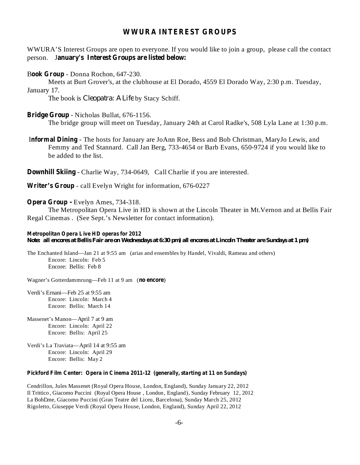#### **WWURA INTEREST GROUPS**

**anuary's Interest Groups are listed below:** person. J WWURA'S Interest Groups are open to everyone. If you would like to join a group, please call the contact

Book Group - Donna Rochon, 647-230.

Meets at Burt Grover's, at the clubhouse at El Dorado, 4559 El Dorado Way, 2:30 p.m. Tuesday, January 17.

The book is *Cleopatra: A Life* by Stacy Schiff.

#### **Bridge Group** - Nicholas Bullat, 676-1156.

The bridge group will meet on Tuesday, January 24th at Carol Radke's, 508 Lyla Lane at 1:30 p.m.

Informal Dining - The hosts for January are JoAnn Roe, Bess and Bob Christman, MaryJo Lewis, and Femmy and Ted Stannard. Call Jan Berg, 733-4654 or Barb Evans, 650-9724 if you would like to be added to the list.

**Downhill Skiing** - Charlie Way, 734-0649, Call Charlie if you are interested.

**Writer's Group** - call Evelyn Wright for information, 676-0227

#### **Opera Group -** Evelyn Ames, 734-318.

The Metropolitan Opera Live in HD is shown at the Lincoln Theater in Mt.Vernon and at Bellis Fair Regal Cinemas . (See Sept.'s Newsletter for contact information).

#### **Metropolitan Opera Live HD operas for 2012** Note: all encores at Bellis Fair are on Wednesdays at 6:30 pm) all encores at Lincoln Theater are Sundays at 1 pm)

The Enchanted Island—Jan 21 at 9:55 am (arias and ensembles by Handel, Vivaldi, Rameau and others) Encore: Lincoln: Feb 5 Encore: Bellis: Feb 8

Wagner's Gotterdammrung—Feb 11 at 9 am (no encore)

Verdi's Ernani—Feb 25 at 9:55 am Encore: Lincoln: March 4 Encore: Bellis: March 14

Massenet's Manon—April 7 at 9 am Encore: Lincoln: April 22 Encore: Bellis: April 25

Verdi's La Traviata—April 14 at 9:55 am Encore: Lincoln: April 29 Encore: Bellis: May 2

#### **Pickford Film Center: Opera in Cinema 2011-12 (generally, starting at 11 on Sundays)**

Cendrillon, Jules Massenet (Royal Opera House, London, England), Sunday January 22, 2012 Il Trittico , Giacomo Puccini (Royal Opera House , London, England), Sunday February 12, 2012 La BohDme, Giacomo Puccini (Gran Teatre del Liceu, Barcelona), Sunday March 25, 2012 Rigoletto, Giuseppe Verdi (Royal Opera House, London, England), Sunday April 22, 2012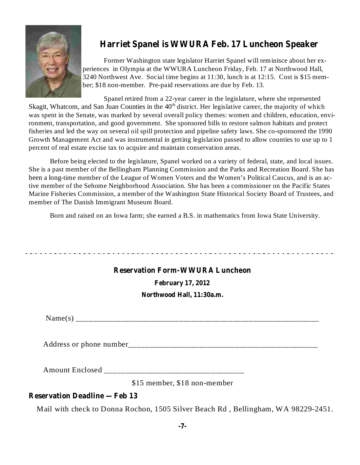

# **Harriet Spanel is WWURA Feb. 17 Luncheon Speaker**

Former Washington state legislator Harriet Spanel will reminisce about her experiences in Olympia at the WWURA Luncheon Friday, Feb. 17 at Northwood Hall, 3240 Northwest Ave. Social time begins at 11:30, lunch is at 12:15. Cost is \$15 member; \$18 non-member. Pre-paid reservations are due by Feb. 13.

Spanel retired from a 22-year career in the legislature, where she represented Skagit, Whatcom, and San Juan Counties in the 40<sup>th</sup> district. Her legislative career, the majority of which was spent in the Senate, was marked by several overall policy themes: women and children, education, environment, transportation, and good government. She sponsored bills to restore salmon habitats and protect fisheries and led the way on several oil spill protection and pipeline safety laws. She co-sponsored the 1990 Growth Management Act and was instrumental in getting legislation passed to allow counties to use up to 1 percent of real estate excise tax to acquire and maintain conservation areas.

Before being elected to the legislature, Spanel worked on a variety of federal, state, and local issues. She is a past member of the Bellingham Planning Commission and the Parks and Recreation Board. She has been a long-time member of the League of Women Voters and the Women's Political Caucus, and is an active member of the Sehome Neighborhood Association. She has been a commissioner on the Pacific States Marine Fisheries Commission, a member of the Washington State Historical Society Board of Trustees, and member of The Danish Immigrant Museum Board.

Born and raised on an Iowa farm; she earned a B.S. in mathematics from Iowa State University.

### **Reservation Form-WWURA Luncheon**

**February 17, 2012**

**Northwood Hall, 11:30a.m.**

Name(s) \_\_\_\_\_\_\_\_\_\_\_\_\_\_\_\_\_\_\_\_\_\_\_\_\_\_\_\_\_\_\_\_\_\_\_\_\_\_\_\_\_\_\_\_\_\_\_\_\_\_\_\_\_\_\_\_\_\_\_

Address or phone number\_\_\_\_\_\_\_\_\_\_\_\_\_\_\_\_\_\_\_\_\_\_\_\_\_\_\_\_\_\_\_\_\_\_\_\_\_\_\_\_\_\_\_\_\_\_

Amount Enclosed \_\_\_\_\_\_\_\_\_\_\_\_\_\_\_\_\_\_\_\_\_\_\_\_\_\_\_\_\_\_\_\_\_\_

\$15 member, \$18 non-member

### **Reservation Deadline —Feb 13**

Mail with check to Donna Rochon, 1505 Silver Beach Rd , Bellingham, WA 98229-2451.